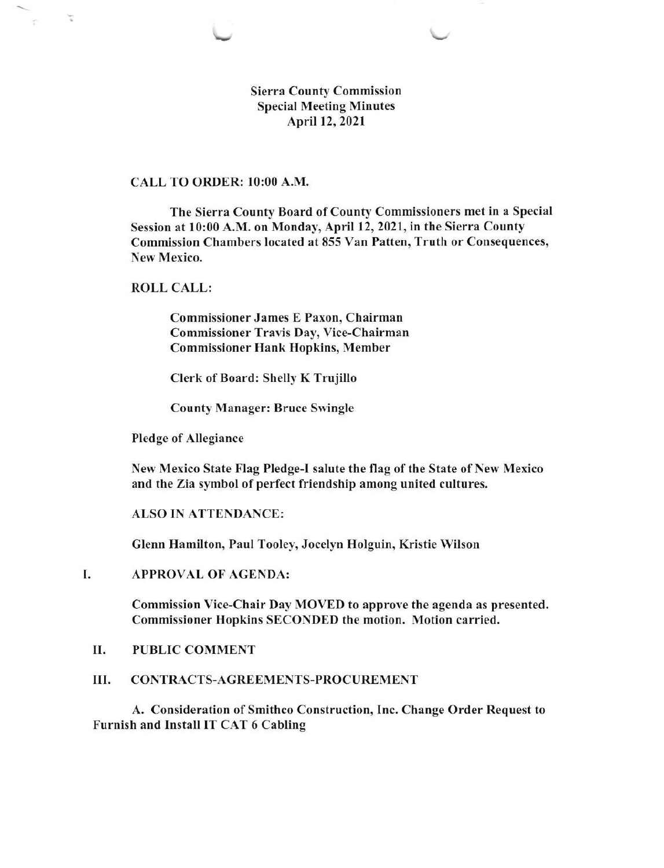Sierra County Commission Special Meeting Minutes April 12, 2021

## CALL TO ORDER: l0:00 A.M.

The Sierra County Board of County Commissioners met in a Special Session at l0:00 A.M. on Monday, April 12,2021, in the Sierra County Commission Chambers located at 855 Van Patten, Truth or Consequences, New Mexico.

### ROLL CALL:

 $\tilde{\mathbf{u}}$ 

Commissioner James E Paxon, Chairman Commissioner Travis Day, Vice-Chairman Commissioner Hank Hopkins, Member

Clerk of Board: Shelly K Trujillo

County Manager: Bruce Swingle

Pledge of Allegiance

New Mexico State Flag Pledge-I salute the flag of the State of New Mexico and the Zia symbol of perfect friendship among united cultures.

ALSO IN ATTENDANCE:

Glenn Hamilton, Paul Tooley, Jocelyn Holguin, Kristie Wilson

#### I APPROVAL OF AGENDA:

Commission Vice-Chair Day MOVED to approve the agenda as presented. Commissioner Hopkins SECONDED the motion. Motion carried.

#### II. PUBLIC COMMENT

#### III. CONTRACTS-AGREEMENTS-PROCUREMENT

A. Consideration of Smithco Construction, Inc. Change Order Request to Furnish and Install IT CAT 6 Cabling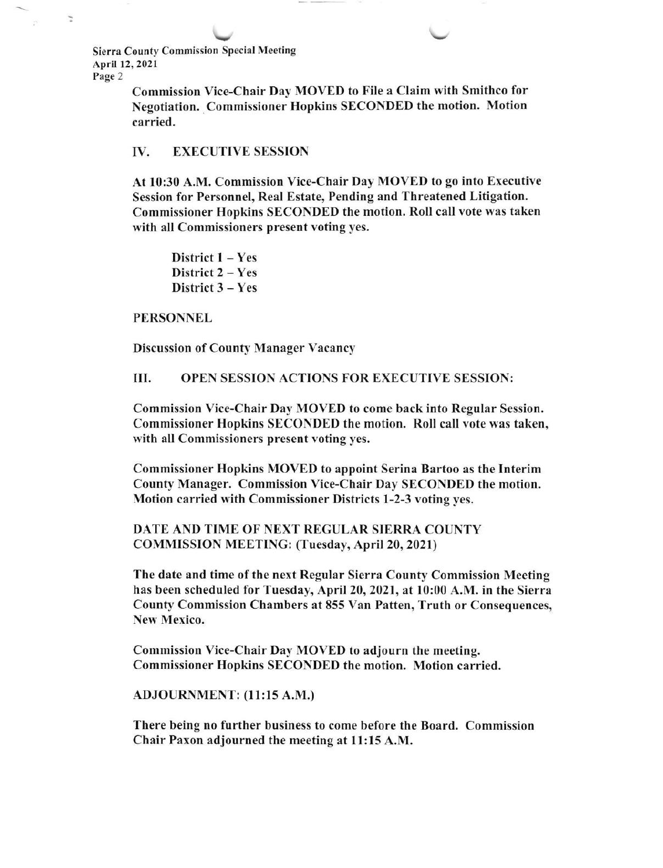$\downarrow$ Sierra County Commission Special Meeting April 12,2021 Page 2

 $\overline{\phantom{a}}$ 

Commission Vice-Chair Day MOVED to File a Claim with Smithco for Negotiation. Commissioner Hopkins SECONDED the motion. Motion carried.

### IV. EXECUTIVE SESSION

At l0:30 A.M. Commission Vice-Chair Day MOVED to go into Executive Session for Personnel, Real Estate, Pending and Threatened Litigation. Commissioner Hopkins SECONDED the motion. Roll call vote was taken with all Commissioners present voting yes.

District  $1 - Yes$ District 2 - Yes District  $3 - Yes$ 

### PERSONNEL

Discussion of County Manager Vacancy

III. OPEN SESSION ACTIONS FOR EXECUTIVE SESSION:

Commission Vice-Chair Day MOVED to come back into Regular Session. Commissioner Hopkins SECONDED the motion. Roll call vote was taken, with all Commissioners present voting yes.

Commissioner Hopkins MOVED to appoint Serina Bartoo as the Interim County Manager. Commission Vice-Chair Day SECONDED the motion. Motion carried with Commissioner Districts l-2-3 voting yes.

DATE AND TIME OF NEXT REGULAR SIERRA COUNTY COMMISSION MEETING: (Tuesday, April 20,2021)

The date and time of the next Regular Sierra County Commission Meeting has been scheduled for Tuesday, April 20, 2021, at l0:00 A.M. in the Sierra County Commission Chambers at 855 Van Patten, Truth or Consequences,, New Mexico.

Commission Vice-Chair Day MOVED to adjourn the meeting. Commissioner Hopkins SECONDED the motion. Motion carried.

ADJOURNMENT: (11:15 A.M.)

There being no further business to come before the Board. Commission Chair Paxon adjourned the meeting at 11:15 A.M.